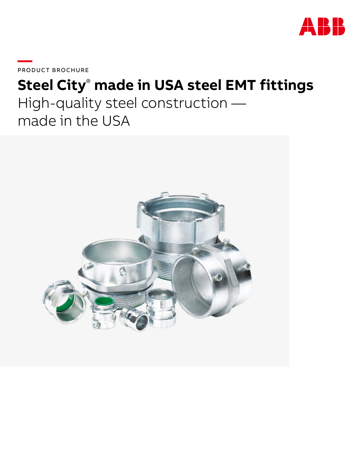

PRODUCT BROCHURE

# **Steel City**®  **made in USA steel EMT fittings** High-quality steel construction made in the USA